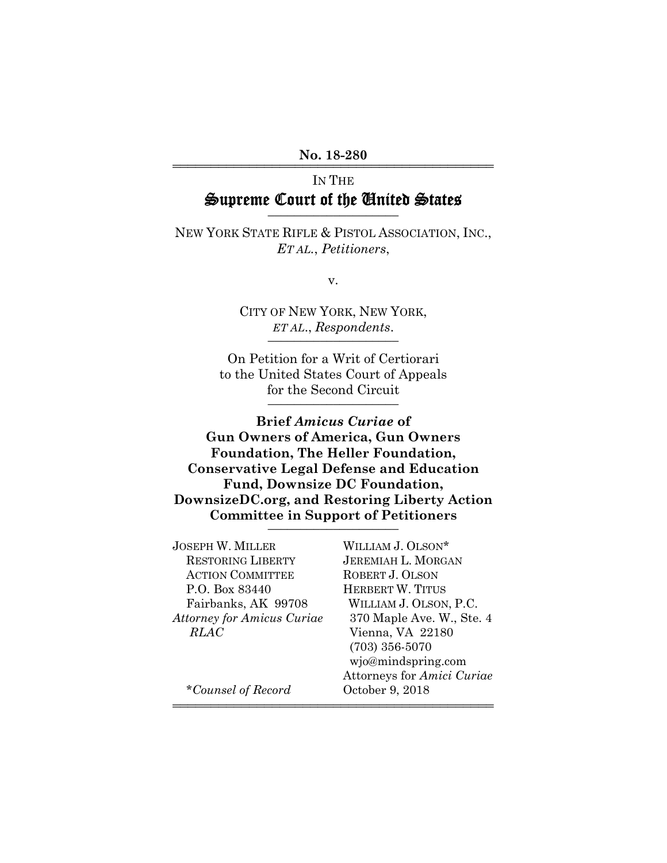#### No. 18-280

# IN THE Supreme Court of the United States

NEW YORK STATE RIFLE & PISTOL ASSOCIATION, INC., *ET AL.*, *Petitioners*,

v.

CITY OF NEW YORK, NEW YORK, *ET AL*., *Respondents*. \_\_\_\_\_\_\_\_\_\_\_\_\_\_\_\_\_\_\_\_

On Petition for a Writ of Certiorari to the United States Court of Appeals for the Second Circuit

**Brief** *Amicus Curiae* **of Gun Owners of America, Gun Owners Foundation, The Heller Foundation, Conservative Legal Defense and Education Fund, Downsize DC Foundation, DownsizeDC.org, and Restoring Liberty Action Committee in Support of Petitioners** \_\_\_\_\_\_\_\_\_\_\_\_\_\_\_\_\_\_\_\_

| <b>JOSEPH W. MILLER</b>           | WILLIAM J. OLSON*          |
|-----------------------------------|----------------------------|
| <b>RESTORING LIBERTY</b>          | <b>JEREMIAH L. MORGAN</b>  |
| <b>ACTION COMMITTEE</b>           | ROBERT J. OLSON            |
| P.O. Box 83440                    | <b>HERBERT W. TITUS</b>    |
| Fairbanks, AK 99708               | WILLIAM J. OLSON, P.C.     |
| <b>Attorney for Amicus Curiae</b> | 370 Maple Ave. W., Ste. 4  |
| <b>RLAC</b>                       | Vienna, VA 22180           |
|                                   | $(703)$ 356-5070           |
|                                   | wjo@mindspring.com         |
|                                   | Attorneys for Amici Curiae |
| *Counsel of Record                | October 9, 2018            |
|                                   |                            |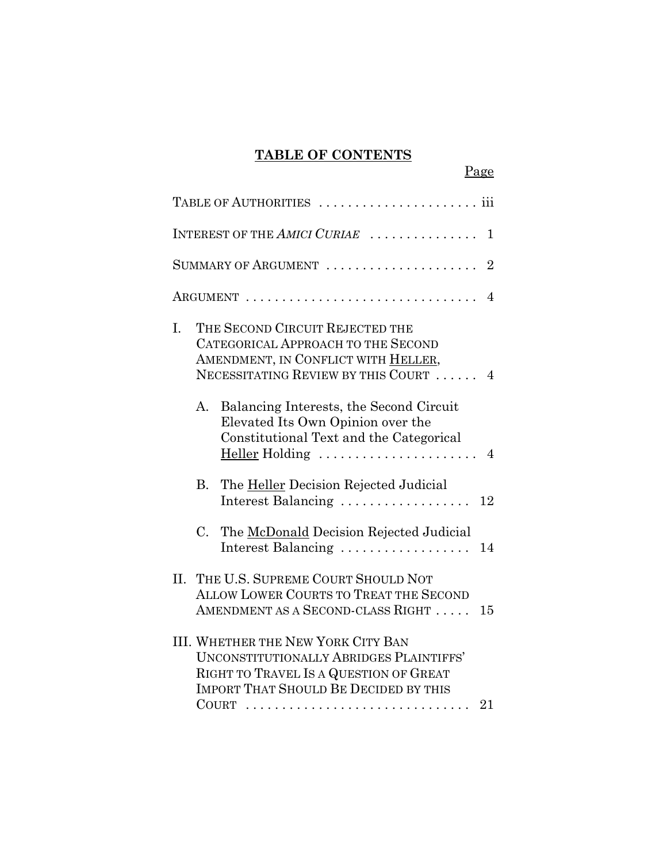# **TABLE OF CONTENTS**

Page

| INTEREST OF THE AMICI CURIAE<br>1                                                                                                                                                           |
|---------------------------------------------------------------------------------------------------------------------------------------------------------------------------------------------|
| SUMMARY OF ARGUMENT<br>$\overline{2}$                                                                                                                                                       |
| $\overline{4}$                                                                                                                                                                              |
| THE SECOND CIRCUIT REJECTED THE<br>I.<br>CATEGORICAL APPROACH TO THE SECOND<br>AMENDMENT, IN CONFLICT WITH HELLER,<br>NECESSITATING REVIEW BY THIS COURT<br>4                               |
| Balancing Interests, the Second Circuit<br>А.<br>Elevated Its Own Opinion over the<br>Constitutional Text and the Categorical<br>Heller Holding<br>$\overline{4}$                           |
| <b>B.</b><br>The Heller Decision Rejected Judicial<br>Interest Balancing<br>12                                                                                                              |
| $C_{\cdot}$<br>The McDonald Decision Rejected Judicial<br>Interest Balancing<br>14                                                                                                          |
| II.<br>THE U.S. SUPREME COURT SHOULD NOT<br><b>ALLOW LOWER COURTS TO TREAT THE SECOND</b><br>AMENDMENT AS A SECOND-CLASS RIGHT<br>15                                                        |
| <b>III. WHETHER THE NEW YORK CITY BAN</b><br><b>UNCONSTITUTIONALLY ABRIDGES PLAINTIFFS'</b><br>RIGHT TO TRAVEL IS A QUESTION OF GREAT<br><b>IMPORT THAT SHOULD BE DECIDED BY THIS</b><br>21 |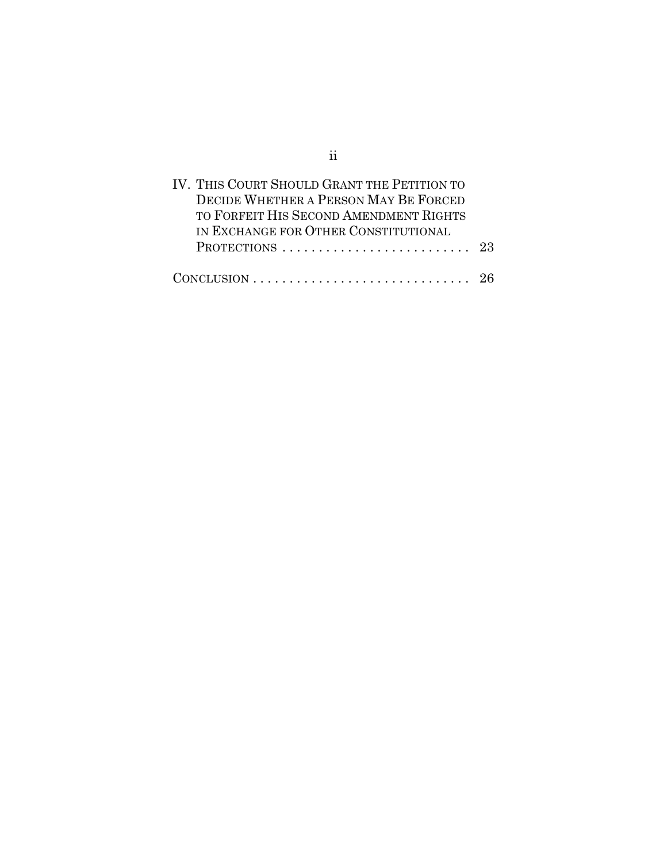| IV. THIS COURT SHOULD GRANT THE PETITION TO<br>DECIDE WHETHER A PERSON MAY BE FORCED  |  |
|---------------------------------------------------------------------------------------|--|
| TO FORFEIT HIS SECOND AMENDMENT RIGHTS                                                |  |
| IN EXCHANGE FOR OTHER CONSTITUTIONAL<br>PROTECTIONS 23                                |  |
| $CONCLUSION \ldots \ldots \ldots \ldots \ldots \ldots \ldots \ldots \ldots \ldots 26$ |  |

ii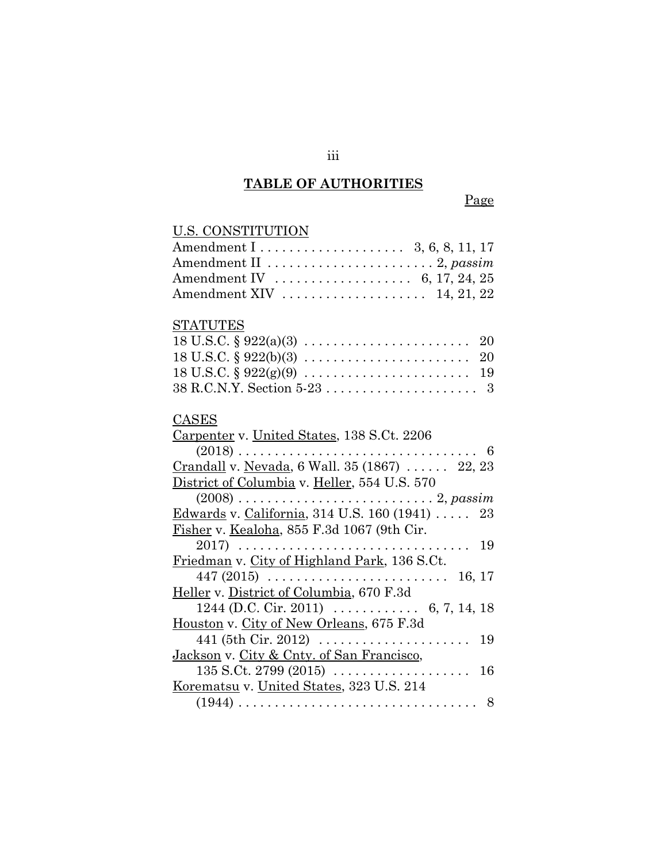#### **TABLE OF AUTHORITIES**

#### Page

# U.S. CONSTITUTION Amendment I . . . . . . . . . . . . . . . . . . . . 3, 6, 8, 11, 17 Amendment II . . . . . . . . . . . . . . . . . . . . . . . 2, *passim* Amendment IV . . . . . . . . . . . . . . . . . . . 6, 17, 24, 25 Amendment XIV . . . . . . . . . . . . . . . . . . . . 14, 21, 22 STATUTES 18 U.S.C. § 922(a)(3) . . . . . . . . . . . . . . . . . . . . . . . 20 18 U.S.C. § 922(b)(3) . . . . . . . . . . . . . . . . . . . . . . . 20 18 U.S.C. § 922(g)(9) . . . . . . . . . . . . . . . . . . . . . . . 19 38 R.C.N.Y. Section 5-23 . . . . . . . . . . . . . . . . . . . . . 3 CASES Carpenter v. United States, 138 S.Ct. 2206 (2018) ................................. 6 Crandall v. Nevada, 6 Wall. 35 (1867) . . . . . . 22, 23 District of Columbia v. Heller, 554 U.S. 570 (2008) . . . . . . . . . . . . . . . . . . . . . . . . . . . 2, *passim* Edwards v. California, 314 U.S. 160 (1941) . . . . . 23 Fisher v. Kealoha, 855 F.3d 1067 (9th Cir. 2017) . . . . . . . . . . . . . . . . . . . . . . . . . . . . . . . . 19 Friedman v. City of Highland Park, 136 S.Ct. 447 (2015) . . . . . . . . . . . . . . . . . . . . . . . . . 16, 17 Heller v. District of Columbia, 670 F.3d 1244 (D.C. Cir. 2011) . . . . . . . . . . . . 6, 7, 14, 18 Houston v. City of New Orleans, 675 F.3d 441 (5th Cir. 2012) . . . . . . . . . . . . . . . . . . . . . 19 Jackson v. City & Cnty. of San Francisco, 135 S.Ct. 2799 (2015) . . . . . . . . . . . . . . . . . . . 16 Korematsu v. United States, 323 U.S. 214 (1944) ................................. 8

iii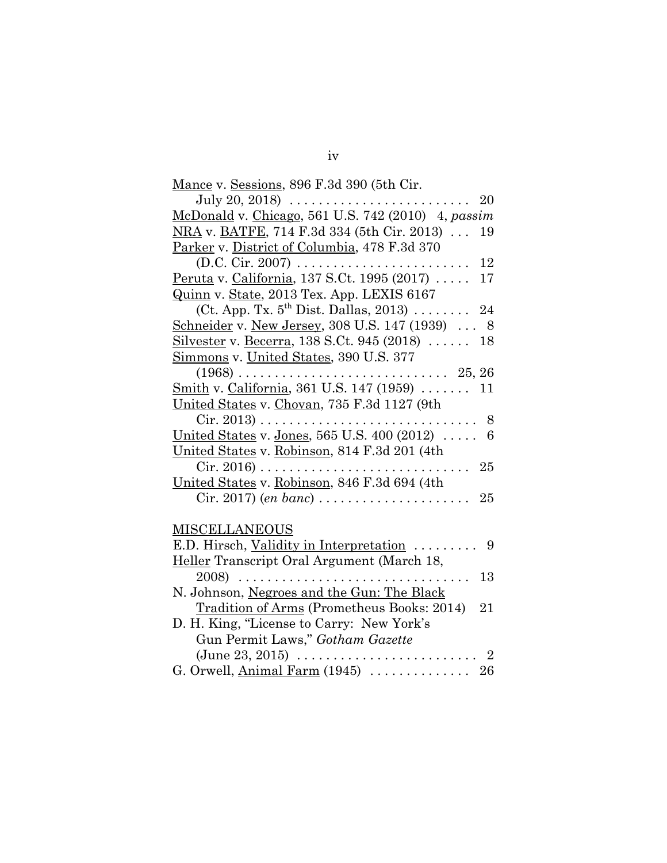| Mance v. Sessions, 896 F.3d 390 (5th Cir. |  |  |
|-------------------------------------------|--|--|
|                                           |  |  |

| July 20, 2018) $\ldots \ldots \ldots \ldots \ldots$<br>20                               |
|-----------------------------------------------------------------------------------------|
| McDonald v. Chicago, 561 U.S. 742 (2010) 4, passim                                      |
| NRA v. BATFE, 714 F.3d 334 (5th Cir. 2013)<br>19                                        |
| Parker v. District of Columbia, 478 F.3d 370                                            |
| $(D.C. Cir. 2007) \ldots$<br>12                                                         |
| Peruta v. California, 137 S.Ct. 1995 (2017)<br>17                                       |
| Quinn v. State, 2013 Tex. App. LEXIS 6167                                               |
| (Ct. App. Tx. $5^{\text{th}}$ Dist. Dallas, 2013)<br>24                                 |
| Schneider v. New Jersey, 308 U.S. 147 (1939)<br>- 8                                     |
| Silvester v. Becerra, 138 S.Ct. 945 (2018)<br>18                                        |
| <u>Simmons</u> v. United States, 390 U.S. 377                                           |
| $(1968) \ldots$<br>$\ldots$ 25, 26<br>.                                                 |
| Smith v. California, 361 U.S. 147 (1959)<br>11                                          |
| United States v. Chovan, 735 F.3d 1127 (9th                                             |
| $Cir. 2013) \ldots \ldots \ldots \ldots \ldots \ldots \ldots \ldots \ldots \ldots$<br>8 |
| United States v. Jones, 565 U.S. 400 (2012)<br>6                                        |
| United States v. Robinson, 814 F.3d 201 (4th                                            |
| $Cir. 2016) \ldots \ldots \ldots$<br>25                                                 |
| United States v. Robinson, 846 F.3d 694 (4th                                            |
| Cir. 2017) (en banc)<br>25                                                              |
|                                                                                         |
| <b>MISCELLANEOUS</b>                                                                    |
| E.D. Hirsch, Validity in Interpretation<br>9                                            |
| Heller Transcript Oral Argument (March 18,                                              |
| $2008)$<br>13<br>$\cdots$                                                               |
| N. Johnson, Negroes and the Gun: The Black                                              |
| Tradition of Arms (Prometheus Books: 2014)<br>21                                        |
| D. H. King, "License to Carry: New York's                                               |
| Gun Permit Laws," Gotham Gazette                                                        |
| $\overline{2}$                                                                          |

G. Orwell, Animal Farm (1945) . . . . . . . . . . . . . . 26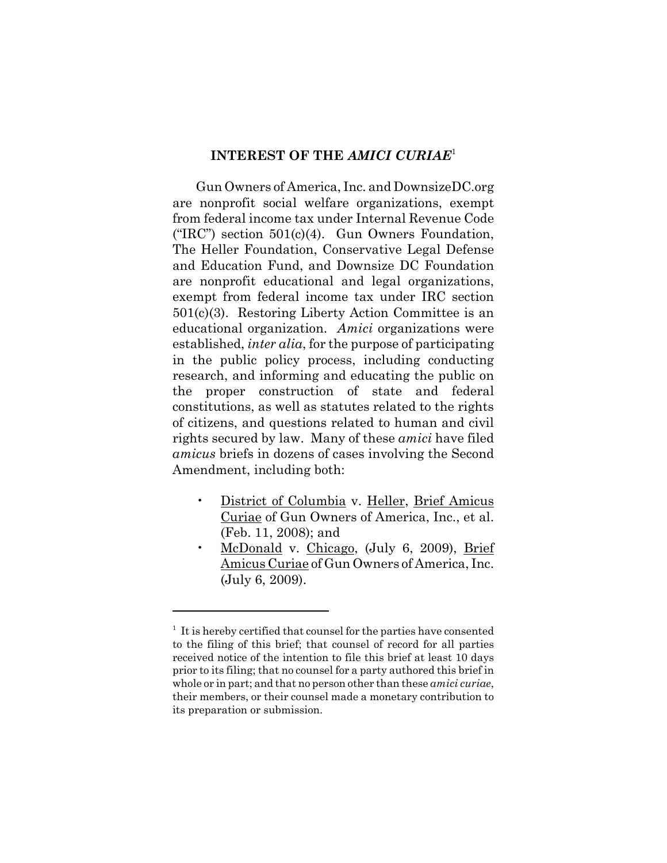### **INTEREST OF THE** *AMICI CURIAE*<sup>1</sup>

Gun Owners of America, Inc. and DownsizeDC.org are nonprofit social welfare organizations, exempt from federal income tax under Internal Revenue Code ("IRC") section  $501(c)(4)$ . Gun Owners Foundation, The Heller Foundation, Conservative Legal Defense and Education Fund, and Downsize DC Foundation are nonprofit educational and legal organizations, exempt from federal income tax under IRC section 501(c)(3). Restoring Liberty Action Committee is an educational organization. *Amici* organizations were established, *inter alia*, for the purpose of participating in the public policy process, including conducting research, and informing and educating the public on the proper construction of state and federal constitutions, as well as statutes related to the rights of citizens, and questions related to human and civil rights secured by law. Many of these *amici* have filed *amicus* briefs in dozens of cases involving the Second Amendment, including both:

- District of Columbia v. Heller, Brief Amicus Curiae of Gun Owners of America, Inc., et al. (Feb. 11, 2008); and
- McDonald v. Chicago, (July 6, 2009), Brief Amicus Curiae of Gun Owners of America, Inc. (July 6, 2009).

<sup>&</sup>lt;sup>1</sup> It is hereby certified that counsel for the parties have consented to the filing of this brief; that counsel of record for all parties received notice of the intention to file this brief at least 10 days prior to its filing; that no counsel for a party authored this brief in whole or in part; and that no person other than these *amici curiae*, their members, or their counsel made a monetary contribution to its preparation or submission.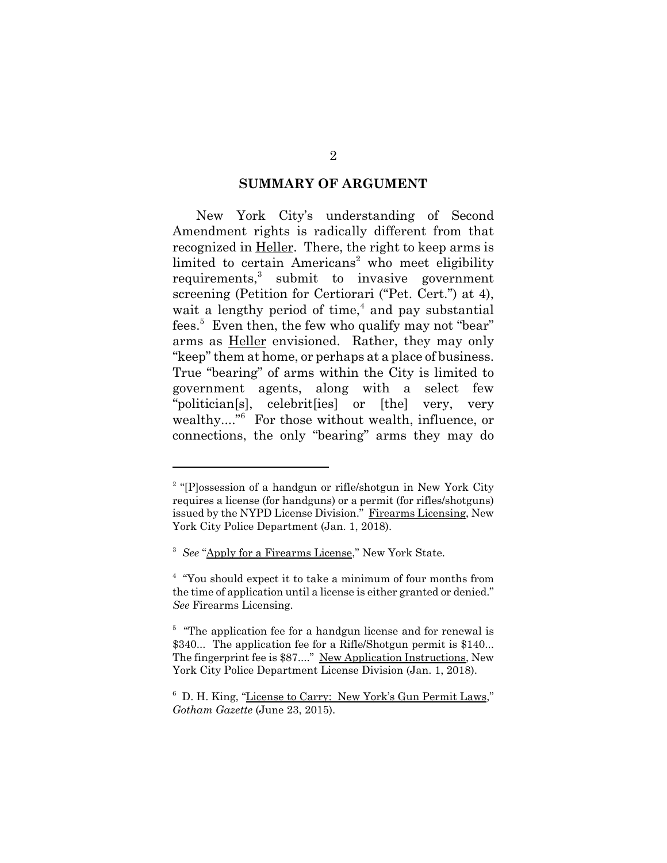#### **SUMMARY OF ARGUMENT**

New York City's understanding of Second Amendment rights is radically different from that recognized in Heller. There, the right to keep arms is limited to certain Americans<sup>2</sup> who meet eligibility requirements,<sup>3</sup> submit to invasive government screening (Petition for Certiorari ("Pet. Cert.") at 4), wait a lengthy period of time, $<sup>4</sup>$  and pay substantial</sup> fees.<sup>5</sup> Even then, the few who qualify may not "bear" arms as Heller envisioned. Rather, they may only "keep" them at home, or perhaps at a place of business. True "bearing" of arms within the City is limited to government agents, along with a select few "politician[s], celebrit[ies] or [the] very, very wealthy...."<sup>6</sup> For those without wealth, influence, or connections, the only "bearing" arms they may do

<sup>&</sup>lt;sup>2</sup> "[P]ossession of a handgun or rifle/shotgun in New York City requires a license (for handguns) or a permit (for rifles/shotguns) issued by the NYPD License Division." Firearms Licensing, New York City Police Department (Jan. 1, 2018).

<sup>&</sup>lt;sup>3</sup> See "Apply for a Firearms License," New York State.

<sup>&</sup>lt;sup>4</sup> "You should expect it to take a minimum of four months from the time of application until a license is either granted or denied." *See* Firearms Licensing.

<sup>&</sup>lt;sup>5</sup> "The application fee for a handgun license and for renewal is \$340... The application fee for a Rifle/Shotgun permit is \$140... The fingerprint fee is \$87...." New Application Instructions, New York City Police Department License Division (Jan. 1, 2018).

<sup>&</sup>lt;sup>6</sup> D. H. King, "License to Carry: New York's Gun Permit Laws," *Gotham Gazette* (June 23, 2015).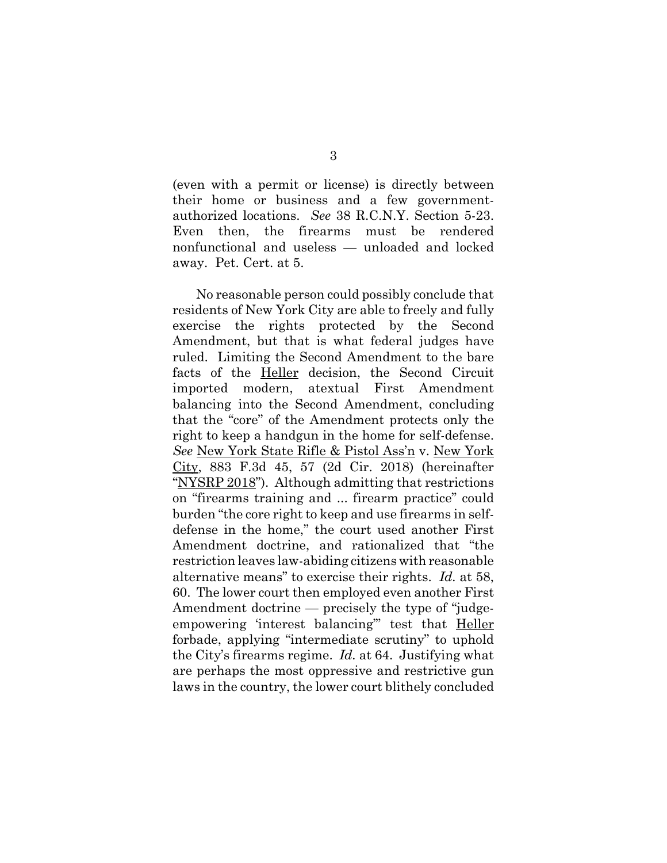(even with a permit or license) is directly between their home or business and a few governmentauthorized locations. *See* 38 R.C.N.Y. Section 5-23. Even then, the firearms must be rendered nonfunctional and useless — unloaded and locked away. Pet. Cert. at 5.

No reasonable person could possibly conclude that residents of New York City are able to freely and fully exercise the rights protected by the Second Amendment, but that is what federal judges have ruled. Limiting the Second Amendment to the bare facts of the Heller decision, the Second Circuit imported modern, atextual First Amendment balancing into the Second Amendment, concluding that the "core" of the Amendment protects only the right to keep a handgun in the home for self-defense. *See* New York State Rifle & Pistol Ass'n v. New York City, 883 F.3d 45, 57 (2d Cir. 2018) (hereinafter "NYSRP 2018"). Although admitting that restrictions on "firearms training and ... firearm practice" could burden "the core right to keep and use firearms in selfdefense in the home," the court used another First Amendment doctrine, and rationalized that "the restriction leaves law-abiding citizens with reasonable alternative means" to exercise their rights. *Id.* at 58, 60. The lower court then employed even another First Amendment doctrine — precisely the type of "judgeempowering 'interest balancing" test that Heller forbade, applying "intermediate scrutiny" to uphold the City's firearms regime. *Id.* at 64. Justifying what are perhaps the most oppressive and restrictive gun laws in the country, the lower court blithely concluded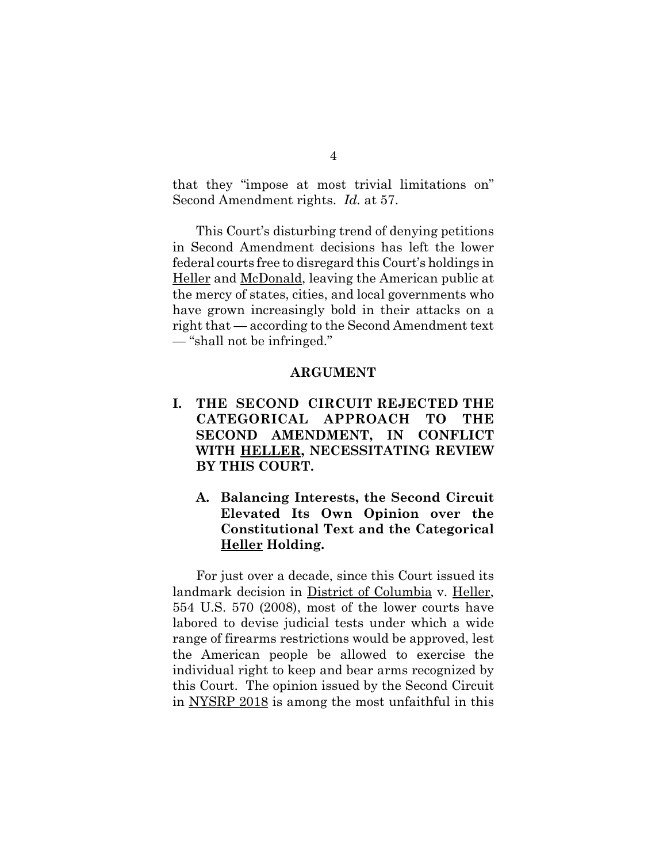that they "impose at most trivial limitations on" Second Amendment rights. *Id.* at 57.

This Court's disturbing trend of denying petitions in Second Amendment decisions has left the lower federal courts free to disregard this Court's holdings in Heller and McDonald, leaving the American public at the mercy of states, cities, and local governments who have grown increasingly bold in their attacks on a right that — according to the Second Amendment text — "shall not be infringed."

#### **ARGUMENT**

- **I. THE SECOND CIRCUIT REJECTED THE CATEGORICAL APPROACH TO THE SECOND AMENDMENT, IN CONFLICT WITH HELLER, NECESSITATING REVIEW BY THIS COURT.**
	- **A. Balancing Interests, the Second Circuit Elevated Its Own Opinion over the Constitutional Text and the Categorical Heller Holding.**

For just over a decade, since this Court issued its landmark decision in District of Columbia v. Heller, 554 U.S. 570 (2008), most of the lower courts have labored to devise judicial tests under which a wide range of firearms restrictions would be approved, lest the American people be allowed to exercise the individual right to keep and bear arms recognized by this Court. The opinion issued by the Second Circuit in NYSRP 2018 is among the most unfaithful in this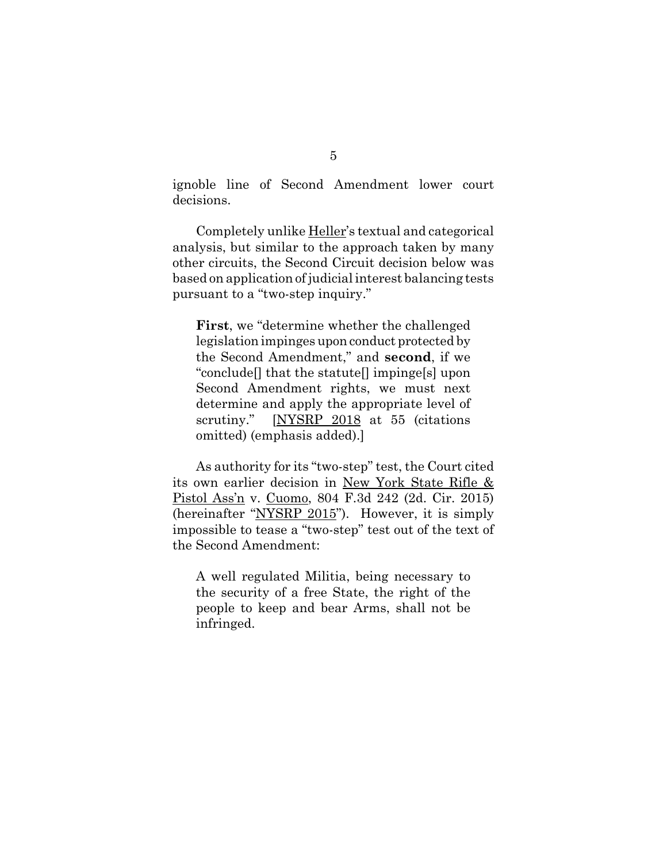ignoble line of Second Amendment lower court decisions.

Completely unlike Heller's textual and categorical analysis, but similar to the approach taken by many other circuits, the Second Circuit decision below was based on application of judicial interest balancing tests pursuant to a "two-step inquiry."

**First**, we "determine whether the challenged legislation impinges upon conduct protected by the Second Amendment," and **second**, if we "conclude[] that the statute[] impinge[s] upon Second Amendment rights, we must next determine and apply the appropriate level of scrutiny." [NYSRP 2018 at 55 (citations omitted) (emphasis added).]

As authority for its "two-step" test, the Court cited its own earlier decision in New York State Rifle & Pistol Ass'n v. Cuomo, 804 F.3d 242 (2d. Cir. 2015) (hereinafter "NYSRP 2015"). However, it is simply impossible to tease a "two-step" test out of the text of the Second Amendment:

A well regulated Militia, being necessary to the security of a free State, the right of the people to keep and bear Arms, shall not be infringed.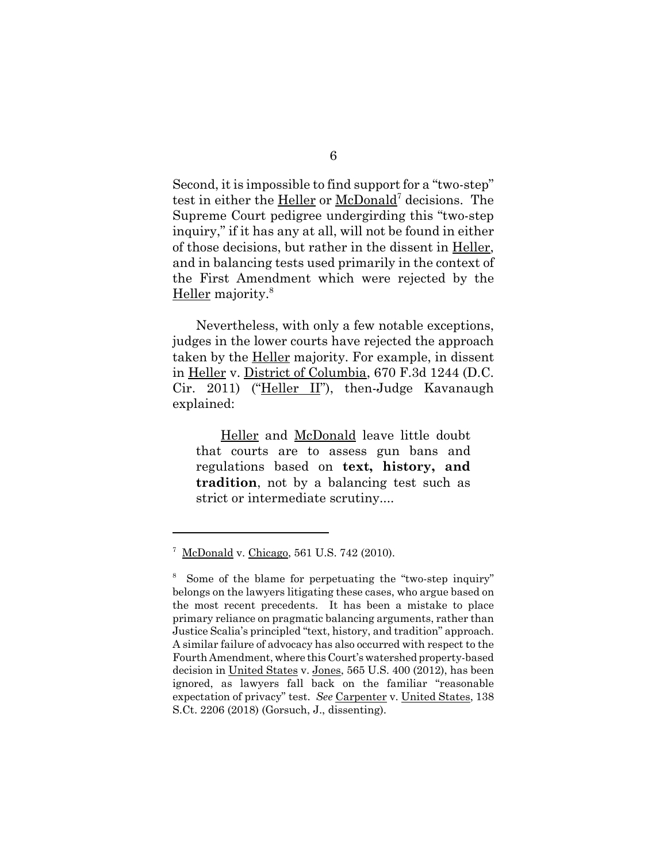Second, it is impossible to find support for a "two-step" test in either the Heller or McDonald<sup>7</sup> decisions. The Supreme Court pedigree undergirding this "two-step inquiry," if it has any at all, will not be found in either of those decisions, but rather in the dissent in Heller, and in balancing tests used primarily in the context of the First Amendment which were rejected by the Heller majority.<sup>8</sup>

Nevertheless, with only a few notable exceptions, judges in the lower courts have rejected the approach taken by the Heller majority. For example, in dissent in Heller v. District of Columbia, 670 F.3d 1244 (D.C. Cir. 2011) ("Heller II"), then-Judge Kavanaugh explained:

Heller and McDonald leave little doubt that courts are to assess gun bans and regulations based on **text, history, and tradition**, not by a balancing test such as strict or intermediate scrutiny....

<sup>&</sup>lt;sup>7</sup> McDonald v. Chicago, 561 U.S. 742 (2010).

<sup>&</sup>lt;sup>8</sup> Some of the blame for perpetuating the "two-step inquiry" belongs on the lawyers litigating these cases, who argue based on the most recent precedents. It has been a mistake to place primary reliance on pragmatic balancing arguments, rather than Justice Scalia's principled "text, history, and tradition" approach. A similar failure of advocacy has also occurred with respect to the Fourth Amendment, where this Court's watershed property-based decision in United States v. Jones, 565 U.S. 400 (2012), has been ignored, as lawyers fall back on the familiar "reasonable expectation of privacy" test. *See* Carpenter v. United States, 138 S.Ct. 2206 (2018) (Gorsuch, J., dissenting).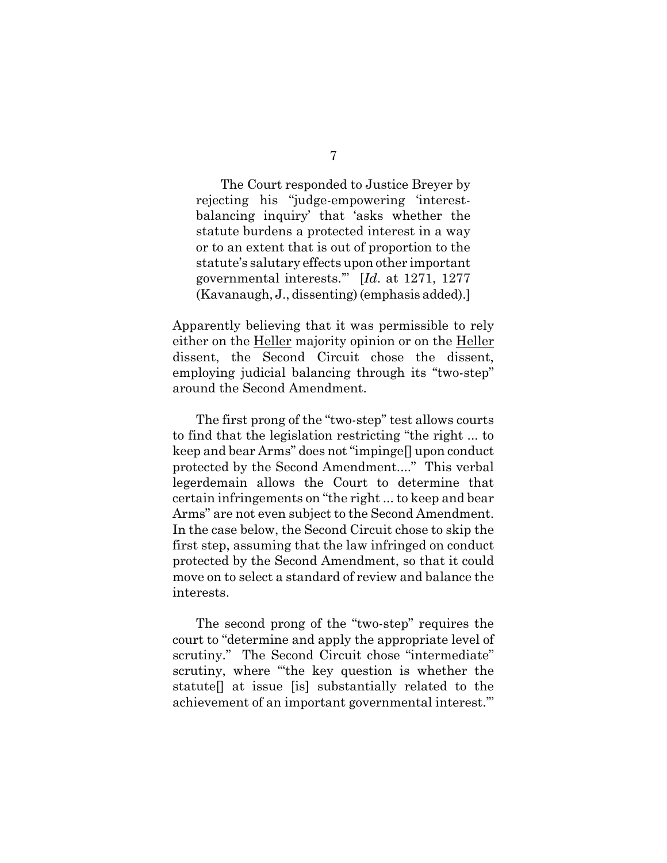The Court responded to Justice Breyer by rejecting his "judge-empowering 'interestbalancing inquiry' that 'asks whether the statute burdens a protected interest in a way or to an extent that is out of proportion to the statute's salutary effects upon other important governmental interests.'" [*Id*. at 1271, 1277 (Kavanaugh, J., dissenting) (emphasis added).]

Apparently believing that it was permissible to rely either on the Heller majority opinion or on the Heller dissent, the Second Circuit chose the dissent, employing judicial balancing through its "two-step" around the Second Amendment.

The first prong of the "two-step" test allows courts to find that the legislation restricting "the right ... to keep and bear Arms" does not "impinge[] upon conduct protected by the Second Amendment...." This verbal legerdemain allows the Court to determine that certain infringements on "the right ... to keep and bear Arms" are not even subject to the Second Amendment. In the case below, the Second Circuit chose to skip the first step, assuming that the law infringed on conduct protected by the Second Amendment, so that it could move on to select a standard of review and balance the interests.

The second prong of the "two-step" requires the court to "determine and apply the appropriate level of scrutiny." The Second Circuit chose "intermediate" scrutiny, where "'the key question is whether the statute[] at issue [is] substantially related to the achievement of an important governmental interest.'"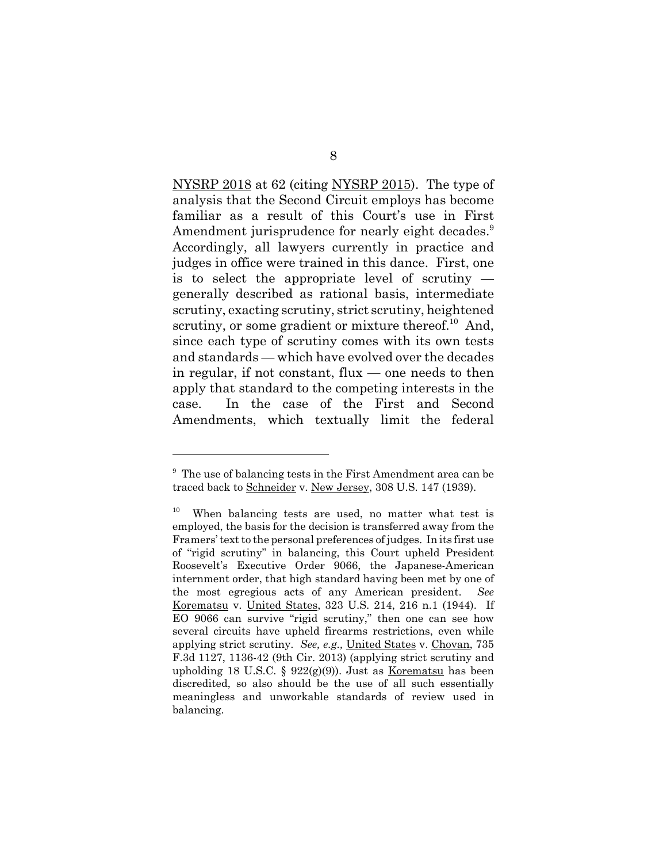NYSRP 2018 at 62 (citing NYSRP 2015). The type of analysis that the Second Circuit employs has become familiar as a result of this Court's use in First Amendment jurisprudence for nearly eight decades.<sup>9</sup> Accordingly, all lawyers currently in practice and judges in office were trained in this dance. First, one is to select the appropriate level of scrutiny generally described as rational basis, intermediate scrutiny, exacting scrutiny, strict scrutiny, heightened scrutiny, or some gradient or mixture thereof.<sup>10</sup> And, since each type of scrutiny comes with its own tests and standards — which have evolved over the decades in regular, if not constant, flux — one needs to then apply that standard to the competing interests in the case. In the case of the First and Second Amendments, which textually limit the federal

<sup>&</sup>lt;sup>9</sup> The use of balancing tests in the First Amendment area can be traced back to Schneider v. New Jersey, 308 U.S. 147 (1939).

 $10$  When balancing tests are used, no matter what test is employed, the basis for the decision is transferred away from the Framers' text to the personal preferences of judges. In its first use of "rigid scrutiny" in balancing, this Court upheld President Roosevelt's Executive Order 9066, the Japanese-American internment order, that high standard having been met by one of the most egregious acts of any American president. *See* Korematsu v. United States, 323 U.S. 214, 216 n.1 (1944). If EO 9066 can survive "rigid scrutiny," then one can see how several circuits have upheld firearms restrictions, even while applying strict scrutiny. *See, e.g.,* United States v. Chovan, 735 F.3d 1127, 1136-42 (9th Cir. 2013) (applying strict scrutiny and upholding 18 U.S.C. §  $922(g)(9)$ . Just as Korematsu has been discredited, so also should be the use of all such essentially meaningless and unworkable standards of review used in balancing.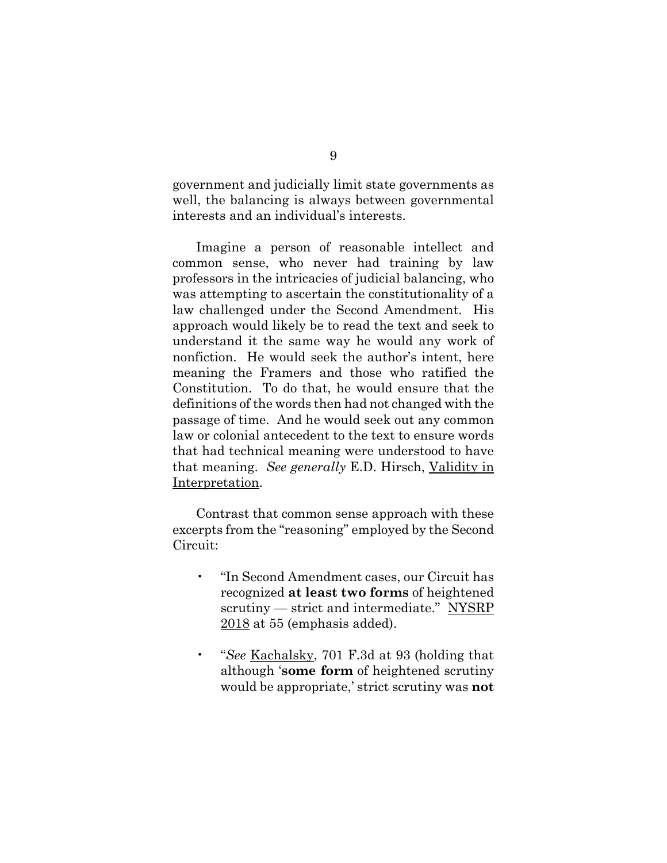government and judicially limit state governments as well, the balancing is always between governmental interests and an individual's interests.

Imagine a person of reasonable intellect and common sense, who never had training by law professors in the intricacies of judicial balancing, who was attempting to ascertain the constitutionality of a law challenged under the Second Amendment. His approach would likely be to read the text and seek to understand it the same way he would any work of nonfiction. He would seek the author's intent, here meaning the Framers and those who ratified the Constitution. To do that, he would ensure that the definitions of the words then had not changed with the passage of time. And he would seek out any common law or colonial antecedent to the text to ensure words that had technical meaning were understood to have that meaning. *See generally* E.D. Hirsch, Validity in Interpretation.

Contrast that common sense approach with these excerpts from the "reasoning" employed by the Second Circuit:

- "In Second Amendment cases, our Circuit has recognized **at least two forms** of heightened scrutiny — strict and intermediate." NYSRP 2018 at 55 (emphasis added).
- "*See* Kachalsky, 701 F.3d at 93 (holding that although '**some form** of heightened scrutiny would be appropriate,' strict scrutiny was **not**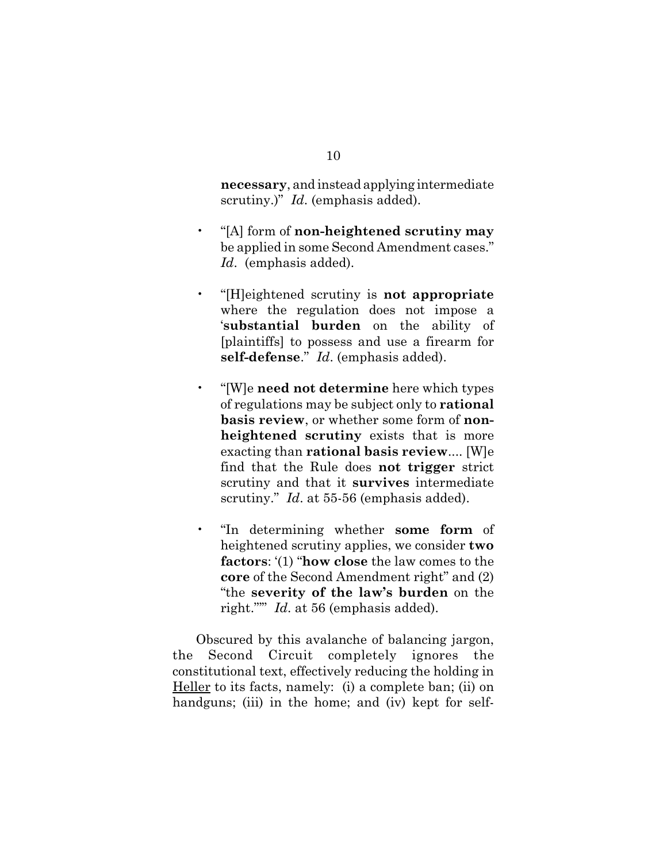**necessary**, and instead applying intermediate scrutiny.)" *Id*. (emphasis added).

- "[A] form of **non-heightened scrutiny may** be applied in some Second Amendment cases." *Id*. (emphasis added).
- "[H]eightened scrutiny is **not appropriate** where the regulation does not impose a '**substantial burden** on the ability of [plaintiffs] to possess and use a firearm for **self-defense**." *Id*. (emphasis added).
- "[W]e **need not determine** here which types of regulations may be subject only to **rational basis review**, or whether some form of **nonheightened scrutiny** exists that is more exacting than **rational basis review**.... [W]e find that the Rule does **not trigger** strict scrutiny and that it **survives** intermediate scrutiny." *Id*. at 55-56 (emphasis added).
- "In determining whether **some form** of heightened scrutiny applies, we consider **two factors**: '(1) "**how close** the law comes to the **core** of the Second Amendment right" and (2) "the **severity of the law's burden** on the right."'" *Id*. at 56 (emphasis added).

Obscured by this avalanche of balancing jargon, the Second Circuit completely ignores the constitutional text, effectively reducing the holding in Heller to its facts, namely: (i) a complete ban; (ii) on handguns; (iii) in the home; and (iv) kept for self-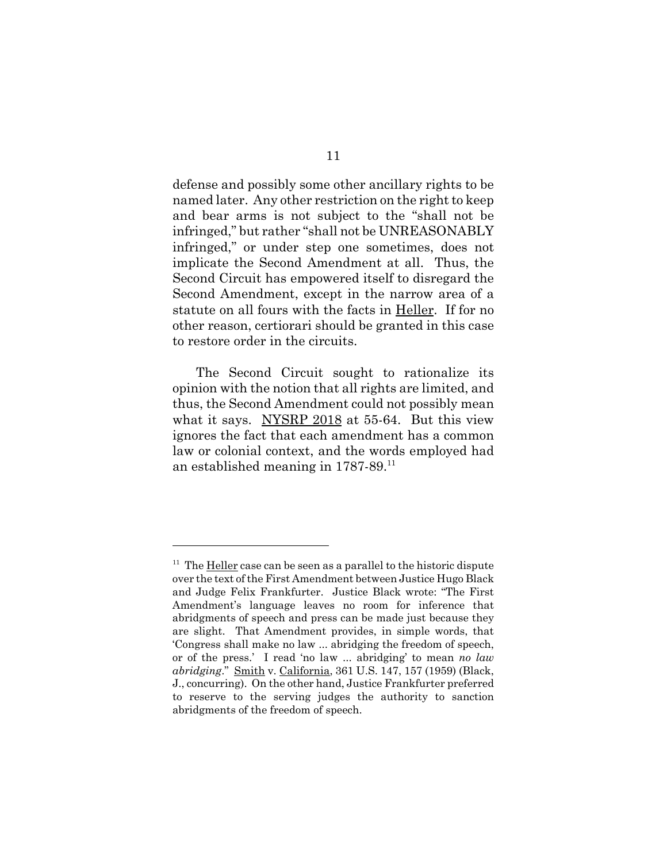defense and possibly some other ancillary rights to be named later. Any other restriction on the right to keep and bear arms is not subject to the "shall not be infringed," but rather "shall not be UNREASONABLY infringed," or under step one sometimes, does not implicate the Second Amendment at all. Thus, the Second Circuit has empowered itself to disregard the Second Amendment, except in the narrow area of a statute on all fours with the facts in Heller. If for no other reason, certiorari should be granted in this case to restore order in the circuits.

The Second Circuit sought to rationalize its opinion with the notion that all rights are limited, and thus, the Second Amendment could not possibly mean what it says. NYSRP 2018 at 55-64. But this view ignores the fact that each amendment has a common law or colonial context, and the words employed had an established meaning in 1787-89.11

 $11$  The Heller case can be seen as a parallel to the historic dispute over the text of the First Amendment between Justice Hugo Black and Judge Felix Frankfurter. Justice Black wrote: "The First Amendment's language leaves no room for inference that abridgments of speech and press can be made just because they are slight. That Amendment provides, in simple words, that 'Congress shall make no law ... abridging the freedom of speech, or of the press.' I read 'no law ... abridging' to mean *no law abridging*." Smith v. California, 361 U.S. 147, 157 (1959) (Black, J., concurring). On the other hand, Justice Frankfurter preferred to reserve to the serving judges the authority to sanction abridgments of the freedom of speech.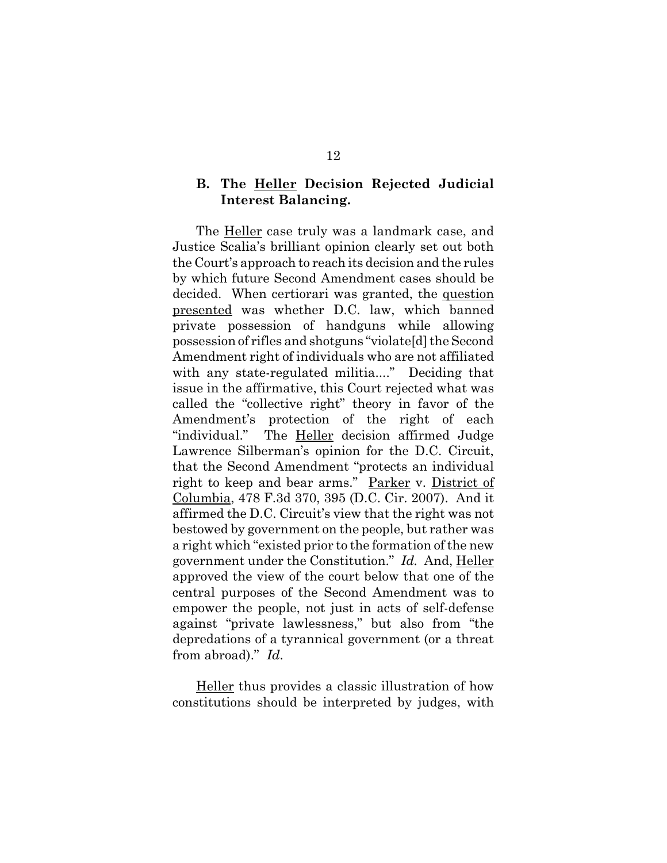### **B. The Heller Decision Rejected Judicial Interest Balancing.**

The Heller case truly was a landmark case, and Justice Scalia's brilliant opinion clearly set out both the Court's approach to reach its decision and the rules by which future Second Amendment cases should be decided. When certiorari was granted, the question presented was whether D.C. law, which banned private possession of handguns while allowing possession of rifles and shotguns "violate[d] the Second Amendment right of individuals who are not affiliated with any state-regulated militia...." Deciding that issue in the affirmative, this Court rejected what was called the "collective right" theory in favor of the Amendment's protection of the right of each "individual." The Heller decision affirmed Judge Lawrence Silberman's opinion for the D.C. Circuit, that the Second Amendment "protects an individual right to keep and bear arms." Parker v. District of Columbia, 478 F.3d 370, 395 (D.C. Cir. 2007). And it affirmed the D.C. Circuit's view that the right was not bestowed by government on the people, but rather was a right which "existed prior to the formation of the new government under the Constitution." *Id.* And, Heller approved the view of the court below that one of the central purposes of the Second Amendment was to empower the people, not just in acts of self-defense against "private lawlessness," but also from "the depredations of a tyrannical government (or a threat from abroad)." *Id*.

Heller thus provides a classic illustration of how constitutions should be interpreted by judges, with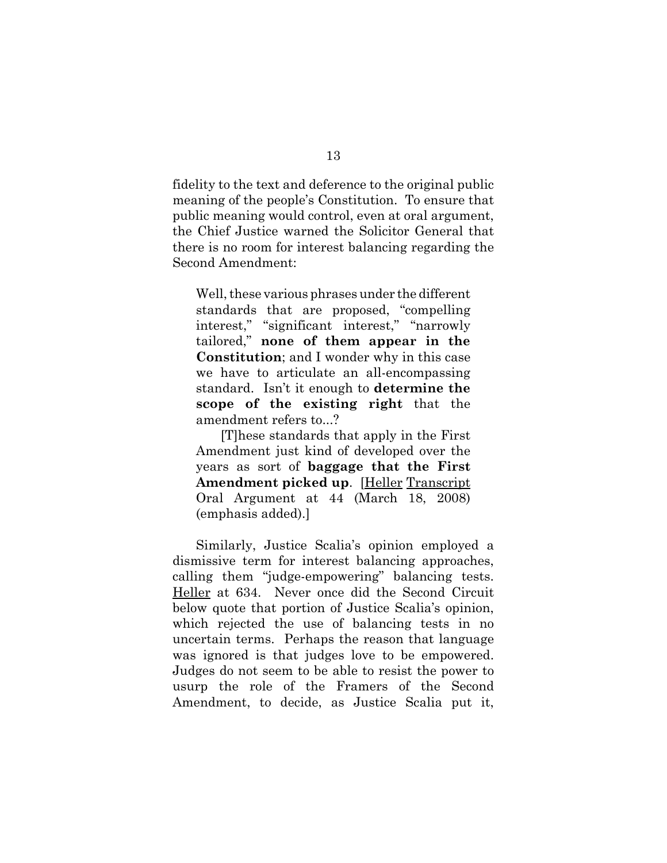fidelity to the text and deference to the original public meaning of the people's Constitution. To ensure that public meaning would control, even at oral argument, the Chief Justice warned the Solicitor General that there is no room for interest balancing regarding the Second Amendment:

Well, these various phrases under the different standards that are proposed, "compelling interest," "significant interest," "narrowly tailored," **none of them appear in the Constitution**; and I wonder why in this case we have to articulate an all-encompassing standard. Isn't it enough to **determine the scope of the existing right** that the amendment refers to...?

[T]hese standards that apply in the First Amendment just kind of developed over the years as sort of **baggage that the First Amendment picked up**. [Heller Transcript Oral Argument at 44 (March 18, 2008) (emphasis added).]

Similarly, Justice Scalia's opinion employed a dismissive term for interest balancing approaches, calling them "judge-empowering" balancing tests. Heller at 634. Never once did the Second Circuit below quote that portion of Justice Scalia's opinion, which rejected the use of balancing tests in no uncertain terms. Perhaps the reason that language was ignored is that judges love to be empowered. Judges do not seem to be able to resist the power to usurp the role of the Framers of the Second Amendment, to decide, as Justice Scalia put it,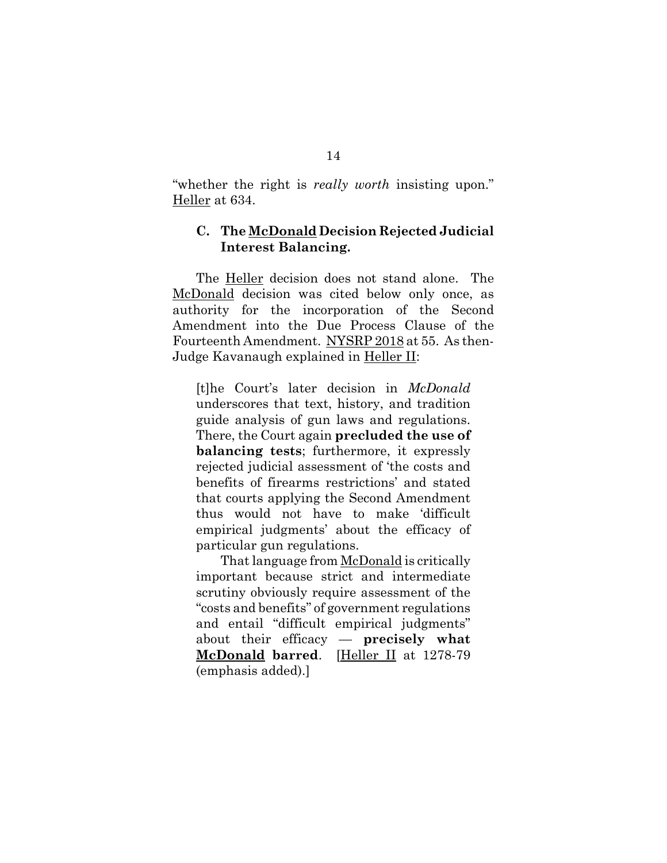"whether the right is *really worth* insisting upon." Heller at 634.

### **C. The McDonald Decision Rejected Judicial Interest Balancing.**

The Heller decision does not stand alone. The McDonald decision was cited below only once, as authority for the incorporation of the Second Amendment into the Due Process Clause of the Fourteenth Amendment. NYSRP 2018 at 55. As then-Judge Kavanaugh explained in Heller II:

[t]he Court's later decision in *McDonald* underscores that text, history, and tradition guide analysis of gun laws and regulations. There, the Court again **precluded the use of balancing tests**; furthermore, it expressly rejected judicial assessment of 'the costs and benefits of firearms restrictions' and stated that courts applying the Second Amendment thus would not have to make 'difficult empirical judgments' about the efficacy of particular gun regulations.

That language from McDonald is critically important because strict and intermediate scrutiny obviously require assessment of the "costs and benefits" of government regulations and entail "difficult empirical judgments" about their efficacy — **precisely what McDonald barred**. [Heller II at 1278-79 (emphasis added).]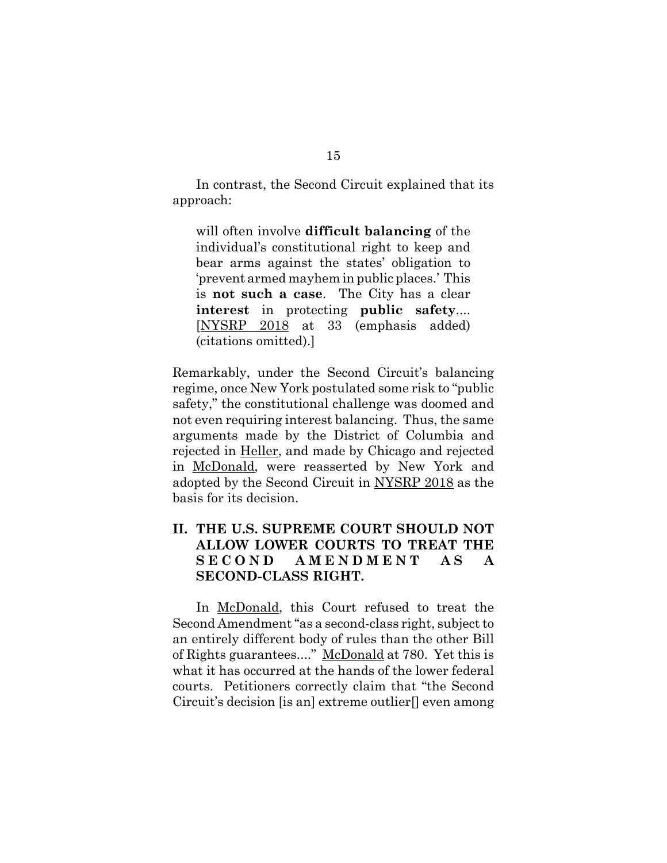In contrast, the Second Circuit explained that its approach:

will often involve **difficult balancing** of the individual's constitutional right to keep and bear arms against the states' obligation to 'prevent armed mayhem in public places.' This is **not such a case**. The City has a clear **interest** in protecting **public safety**.... [NYSRP 2018 at 33 (emphasis added) (citations omitted).]

Remarkably, under the Second Circuit's balancing regime, once New York postulated some risk to "public safety," the constitutional challenge was doomed and not even requiring interest balancing. Thus, the same arguments made by the District of Columbia and rejected in Heller, and made by Chicago and rejected in McDonald, were reasserted by New York and adopted by the Second Circuit in NYSRP 2018 as the basis for its decision.

## **II. THE U.S. SUPREME COURT SHOULD NOT ALLOW LOWER COURTS TO TREAT THE SECOND AMENDMENT AS A SECOND-CLASS RIGHT.**

In McDonald, this Court refused to treat the Second Amendment "as a second-class right, subject to an entirely different body of rules than the other Bill of Rights guarantees...." McDonald at 780. Yet this is what it has occurred at the hands of the lower federal courts. Petitioners correctly claim that "the Second Circuit's decision [is an] extreme outlier[] even among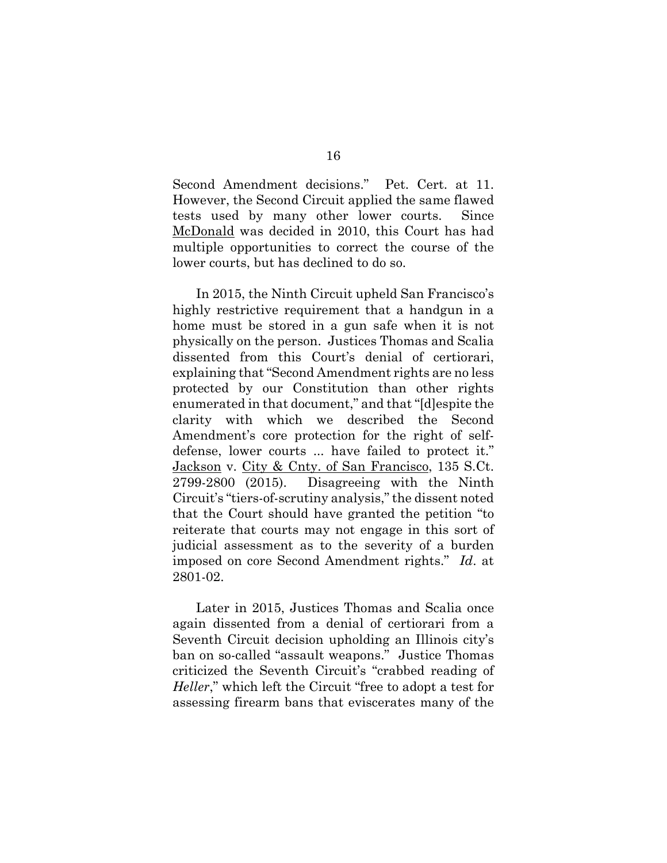Second Amendment decisions." Pet. Cert. at 11. However, the Second Circuit applied the same flawed tests used by many other lower courts. Since McDonald was decided in 2010, this Court has had multiple opportunities to correct the course of the lower courts, but has declined to do so.

In 2015, the Ninth Circuit upheld San Francisco's highly restrictive requirement that a handgun in a home must be stored in a gun safe when it is not physically on the person. Justices Thomas and Scalia dissented from this Court's denial of certiorari, explaining that "Second Amendment rights are no less protected by our Constitution than other rights enumerated in that document," and that "[d]espite the clarity with which we described the Second Amendment's core protection for the right of selfdefense, lower courts ... have failed to protect it." Jackson v. City & Cnty. of San Francisco, 135 S.Ct. 2799-2800 (2015). Disagreeing with the Ninth Circuit's "tiers-of-scrutiny analysis," the dissent noted that the Court should have granted the petition "to reiterate that courts may not engage in this sort of judicial assessment as to the severity of a burden imposed on core Second Amendment rights." *Id*. at 2801-02.

Later in 2015, Justices Thomas and Scalia once again dissented from a denial of certiorari from a Seventh Circuit decision upholding an Illinois city's ban on so-called "assault weapons." Justice Thomas criticized the Seventh Circuit's "crabbed reading of *Heller*," which left the Circuit "free to adopt a test for assessing firearm bans that eviscerates many of the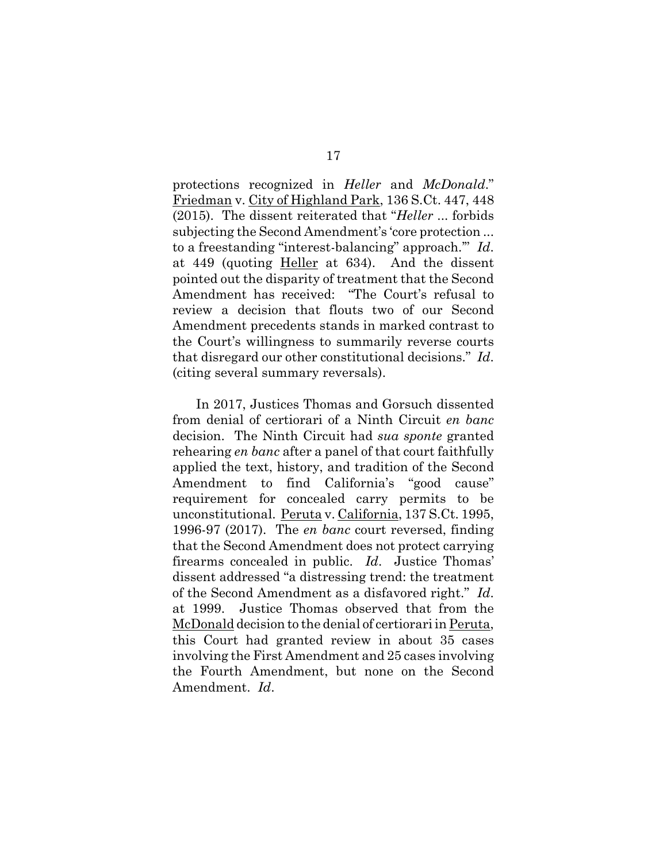protections recognized in *Heller* and *McDonald*." Friedman v. City of Highland Park, 136 S.Ct. 447, 448 (2015). The dissent reiterated that "*Heller* ... forbids subjecting the Second Amendment's 'core protection ... to a freestanding "interest-balancing" approach.'" *Id*. at 449 (quoting Heller at 634). And the dissent pointed out the disparity of treatment that the Second Amendment has received: "The Court's refusal to review a decision that flouts two of our Second Amendment precedents stands in marked contrast to the Court's willingness to summarily reverse courts that disregard our other constitutional decisions." *Id*. (citing several summary reversals).

In 2017, Justices Thomas and Gorsuch dissented from denial of certiorari of a Ninth Circuit *en banc* decision. The Ninth Circuit had *sua sponte* granted rehearing *en banc* after a panel of that court faithfully applied the text, history, and tradition of the Second Amendment to find California's "good cause" requirement for concealed carry permits to be unconstitutional. Peruta v. California, 137 S.Ct. 1995, 1996-97 (2017). The *en banc* court reversed, finding that the Second Amendment does not protect carrying firearms concealed in public. *Id*. Justice Thomas' dissent addressed "a distressing trend: the treatment of the Second Amendment as a disfavored right." *Id*. at 1999. Justice Thomas observed that from the McDonald decision to the denial of certiorari in Peruta, this Court had granted review in about 35 cases involving the First Amendment and 25 cases involving the Fourth Amendment, but none on the Second Amendment. *Id*.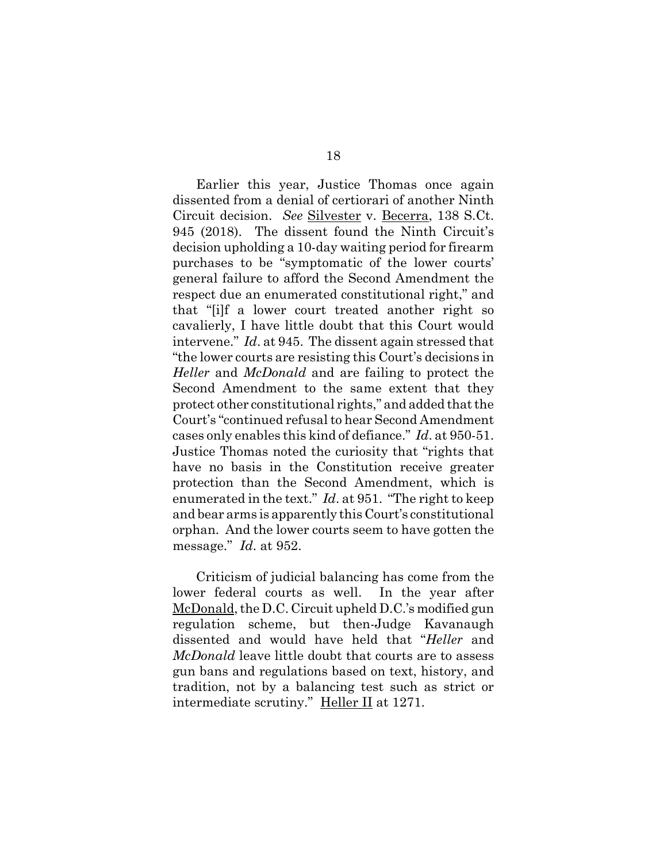Earlier this year, Justice Thomas once again dissented from a denial of certiorari of another Ninth Circuit decision. *See* Silvester v. Becerra, 138 S.Ct. 945 (2018). The dissent found the Ninth Circuit's decision upholding a 10-day waiting period for firearm purchases to be "symptomatic of the lower courts' general failure to afford the Second Amendment the respect due an enumerated constitutional right," and that "[i]f a lower court treated another right so cavalierly, I have little doubt that this Court would intervene." *Id*. at 945. The dissent again stressed that "the lower courts are resisting this Court's decisions in *Heller* and *McDonald* and are failing to protect the Second Amendment to the same extent that they protect other constitutional rights," and added that the Court's "continued refusal to hear Second Amendment cases only enables this kind of defiance." *Id*. at 950-51. Justice Thomas noted the curiosity that "rights that have no basis in the Constitution receive greater protection than the Second Amendment, which is enumerated in the text." *Id*. at 951. "The right to keep and bear arms is apparently this Court's constitutional orphan. And the lower courts seem to have gotten the message." *Id*. at 952.

Criticism of judicial balancing has come from the lower federal courts as well. In the year after McDonald, the D.C. Circuit upheld D.C.'s modified gun regulation scheme, but then-Judge Kavanaugh dissented and would have held that "*Heller* and *McDonald* leave little doubt that courts are to assess gun bans and regulations based on text, history, and tradition, not by a balancing test such as strict or intermediate scrutiny." Heller II at 1271.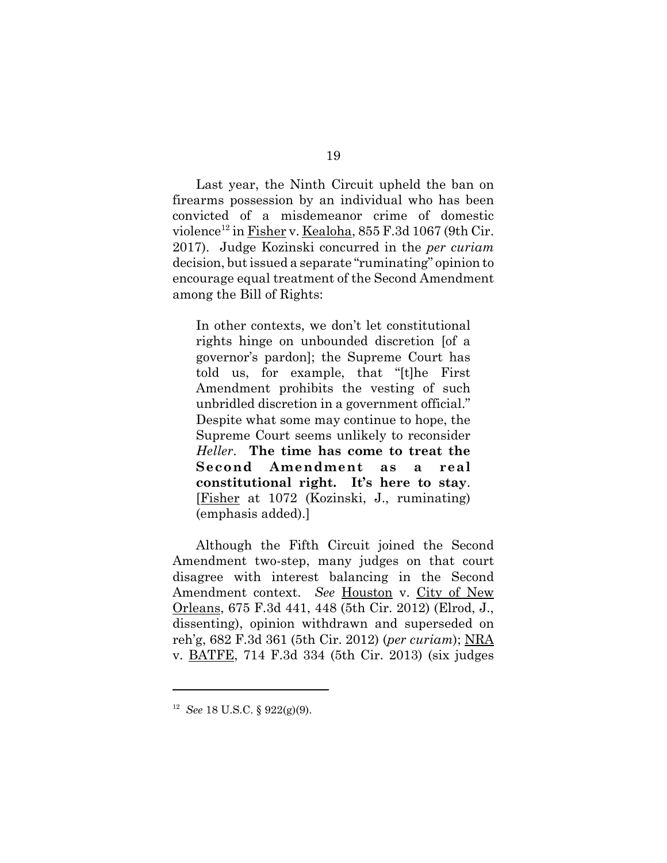Last year, the Ninth Circuit upheld the ban on firearms possession by an individual who has been convicted of a misdemeanor crime of domestic violence<sup>12</sup> in Fisher v. Kealoha,  $855$  F.3d 1067 (9th Cir. 2017). Judge Kozinski concurred in the *per curiam* decision, but issued a separate "ruminating" opinion to encourage equal treatment of the Second Amendment among the Bill of Rights:

In other contexts, we don't let constitutional rights hinge on unbounded discretion [of a governor's pardon]; the Supreme Court has told us, for example, that "[t]he First Amendment prohibits the vesting of such unbridled discretion in a government official." Despite what some may continue to hope, the Supreme Court seems unlikely to reconsider *Heller*. **The time has come to treat the Second Amendment as a real constitutional right. It's here to stay**. [Fisher at 1072 (Kozinski, J., ruminating) (emphasis added).]

Although the Fifth Circuit joined the Second Amendment two-step, many judges on that court disagree with interest balancing in the Second Amendment context. *See* Houston v. City of New Orleans, 675 F.3d 441, 448 (5th Cir. 2012) (Elrod, J., dissenting), opinion withdrawn and superseded on reh'g, 682 F.3d 361 (5th Cir. 2012) (*per curiam*); NRA v. BATFE, 714 F.3d 334 (5th Cir. 2013) (six judges

<sup>12</sup> *See* 18 U.S.C. § 922(g)(9).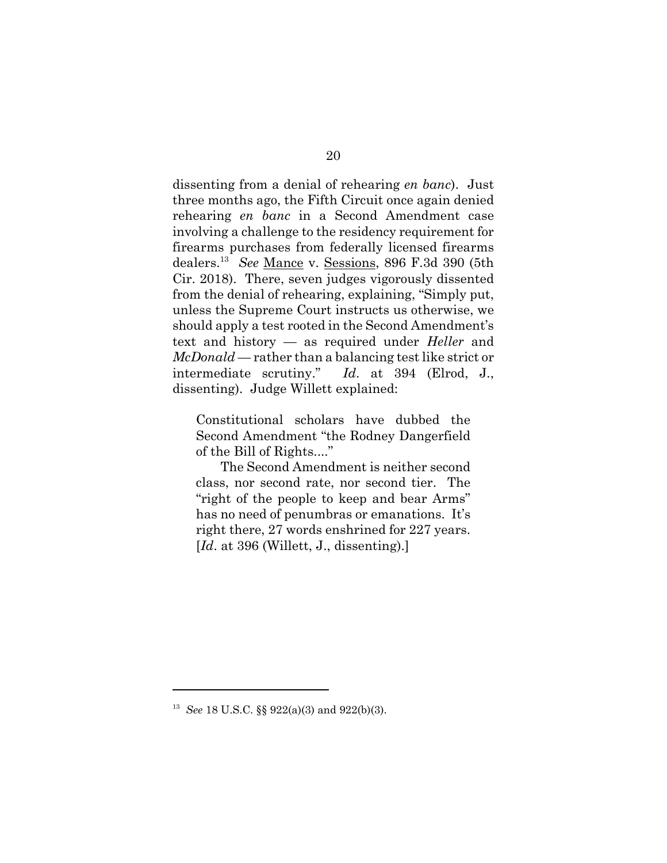dissenting from a denial of rehearing *en banc*). Just three months ago, the Fifth Circuit once again denied rehearing *en banc* in a Second Amendment case involving a challenge to the residency requirement for firearms purchases from federally licensed firearms dealers.13 *See* Mance v. Sessions, 896 F.3d 390 (5th Cir. 2018). There, seven judges vigorously dissented from the denial of rehearing, explaining, "Simply put, unless the Supreme Court instructs us otherwise, we should apply a test rooted in the Second Amendment's text and history — as required under *Heller* and *McDonald* — rather than a balancing test like strict or intermediate scrutiny." *Id*. at 394 (Elrod, J., dissenting). Judge Willett explained:

Constitutional scholars have dubbed the Second Amendment "the Rodney Dangerfield of the Bill of Rights...."

The Second Amendment is neither second class, nor second rate, nor second tier. The "right of the people to keep and bear Arms" has no need of penumbras or emanations. It's right there, 27 words enshrined for 227 years. [*Id.* at 396 (Willett, J., dissenting).]

<sup>13</sup> *See* 18 U.S.C. §§ 922(a)(3) and 922(b)(3).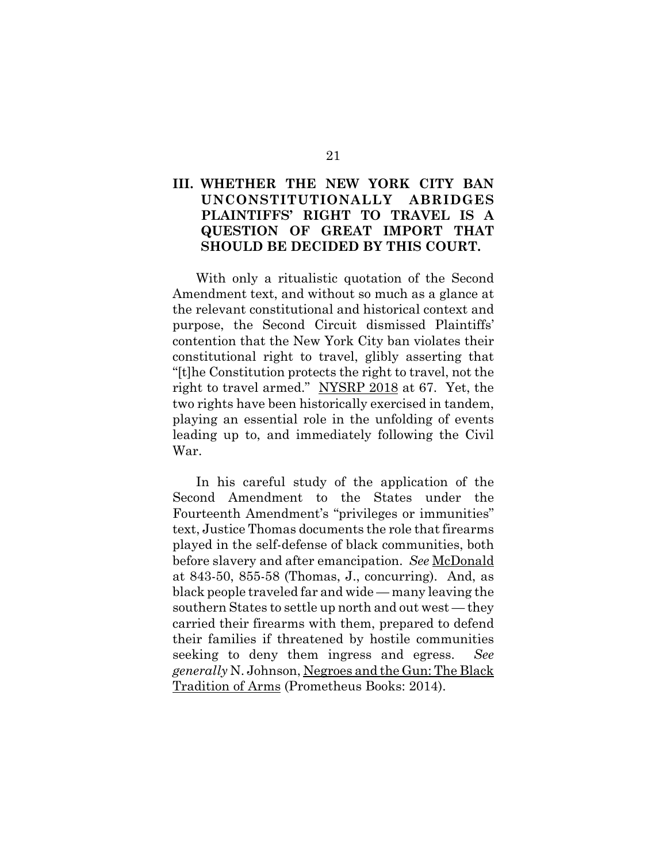## **III. WHETHER THE NEW YORK CITY BAN UNCONSTITUTIONALLY ABRIDGES PLAINTIFFS' RIGHT TO TRAVEL IS A QUESTION OF GREAT IMPORT THAT SHOULD BE DECIDED BY THIS COURT.**

With only a ritualistic quotation of the Second Amendment text, and without so much as a glance at the relevant constitutional and historical context and purpose, the Second Circuit dismissed Plaintiffs' contention that the New York City ban violates their constitutional right to travel, glibly asserting that "[t]he Constitution protects the right to travel, not the right to travel armed." NYSRP 2018 at 67. Yet, the two rights have been historically exercised in tandem, playing an essential role in the unfolding of events leading up to, and immediately following the Civil War.

In his careful study of the application of the Second Amendment to the States under the Fourteenth Amendment's "privileges or immunities" text, Justice Thomas documents the role that firearms played in the self-defense of black communities, both before slavery and after emancipation. *See* McDonald at 843-50, 855-58 (Thomas, J., concurring). And, as black people traveled far and wide — many leaving the southern States to settle up north and out west — they carried their firearms with them, prepared to defend their families if threatened by hostile communities seeking to deny them ingress and egress. *See generally* N. Johnson, Negroes and the Gun: The Black Tradition of Arms (Prometheus Books: 2014).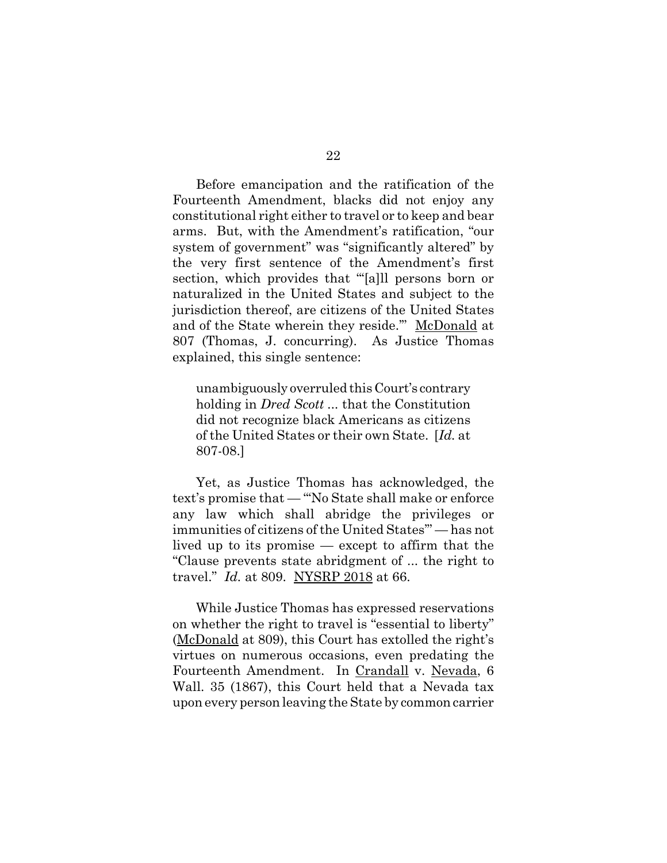Before emancipation and the ratification of the Fourteenth Amendment, blacks did not enjoy any constitutional right either to travel or to keep and bear arms. But, with the Amendment's ratification, "our system of government" was "significantly altered" by the very first sentence of the Amendment's first section, which provides that "[a]ll persons born or naturalized in the United States and subject to the jurisdiction thereof, are citizens of the United States and of the State wherein they reside.'" McDonald at 807 (Thomas, J. concurring). As Justice Thomas explained, this single sentence:

unambiguously overruled this Court's contrary holding in *Dred Scott ...* that the Constitution did not recognize black Americans as citizens of the United States or their own State. [*Id.* at 807-08.]

Yet, as Justice Thomas has acknowledged, the text's promise that — "'No State shall make or enforce any law which shall abridge the privileges or immunities of citizens of the United States'" — has not lived up to its promise — except to affirm that the "Clause prevents state abridgment of ... the right to travel." *Id.* at 809. NYSRP 2018 at 66.

While Justice Thomas has expressed reservations on whether the right to travel is "essential to liberty" (McDonald at 809), this Court has extolled the right's virtues on numerous occasions, even predating the Fourteenth Amendment. In Crandall v. Nevada, 6 Wall. 35 (1867), this Court held that a Nevada tax upon every person leaving the State by common carrier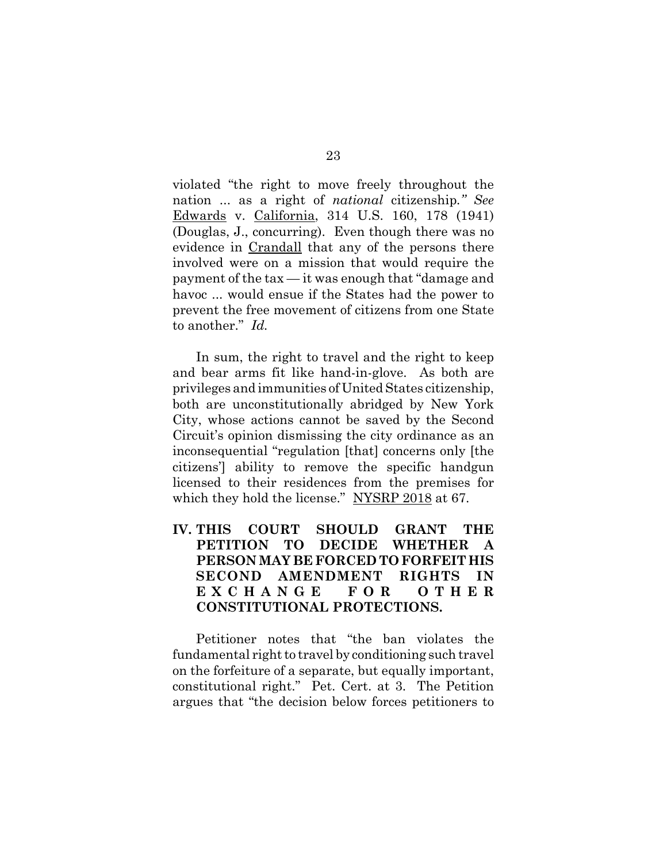violated "the right to move freely throughout the nation ... as a right of *national* citizenship*." See* Edwards v. California, 314 U.S. 160, 178 (1941) (Douglas, J., concurring). Even though there was no evidence in Crandall that any of the persons there involved were on a mission that would require the payment of the tax — it was enough that "damage and havoc ... would ensue if the States had the power to prevent the free movement of citizens from one State to another." *Id.* 

In sum, the right to travel and the right to keep and bear arms fit like hand-in-glove. As both are privileges and immunities of United States citizenship, both are unconstitutionally abridged by New York City, whose actions cannot be saved by the Second Circuit's opinion dismissing the city ordinance as an inconsequential "regulation [that] concerns only [the citizens'] ability to remove the specific handgun licensed to their residences from the premises for which they hold the license." NYSRP 2018 at 67.

## **IV. THIS COURT SHOULD GRANT THE PETITION TO DECIDE WHETHER A PERSON MAY BE FORCED TO FORFEIT HIS SECOND AMENDMENT RIGHTS IN EXCHANGE FOR OTHER CONSTITUTIONAL PROTECTIONS.**

Petitioner notes that "the ban violates the fundamental right to travel by conditioning such travel on the forfeiture of a separate, but equally important, constitutional right." Pet. Cert. at 3. The Petition argues that "the decision below forces petitioners to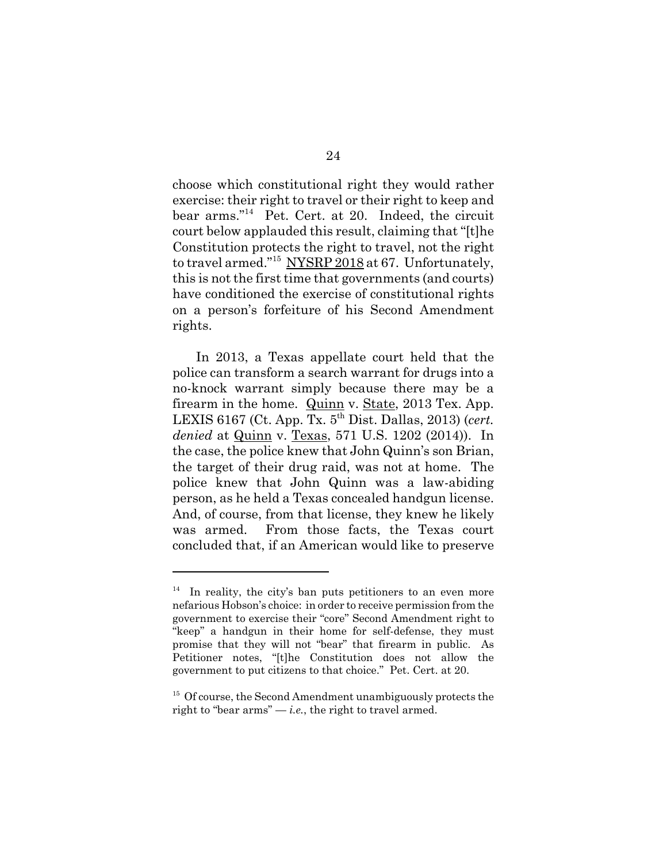choose which constitutional right they would rather exercise: their right to travel or their right to keep and bear arms."<sup>14</sup> Pet. Cert. at 20. Indeed, the circuit court below applauded this result, claiming that "[t]he Constitution protects the right to travel, not the right to travel armed."<sup>15</sup> NYSRP 2018 at 67. Unfortunately, this is not the first time that governments (and courts) have conditioned the exercise of constitutional rights on a person's forfeiture of his Second Amendment rights.

In 2013, a Texas appellate court held that the police can transform a search warrant for drugs into a no-knock warrant simply because there may be a firearm in the home. Quinn v. State, 2013 Tex. App. LEXIS 6167 (Ct. App. Tx. 5th Dist. Dallas, 2013) (*cert. denied* at Quinn v. Texas, 571 U.S. 1202 (2014)). In the case, the police knew that John Quinn's son Brian, the target of their drug raid, was not at home. The police knew that John Quinn was a law-abiding person, as he held a Texas concealed handgun license. And, of course, from that license, they knew he likely was armed. From those facts, the Texas court concluded that, if an American would like to preserve

 $14$  In reality, the city's ban puts petitioners to an even more nefarious Hobson's choice: in order to receive permission from the government to exercise their "core" Second Amendment right to "keep" a handgun in their home for self-defense, they must promise that they will not "bear" that firearm in public. As Petitioner notes, "[t]he Constitution does not allow the government to put citizens to that choice." Pet. Cert. at 20.

<sup>&</sup>lt;sup>15</sup> Of course, the Second Amendment unambiguously protects the right to "bear  $\text{arms"} - i.e.,$  the right to travel armed.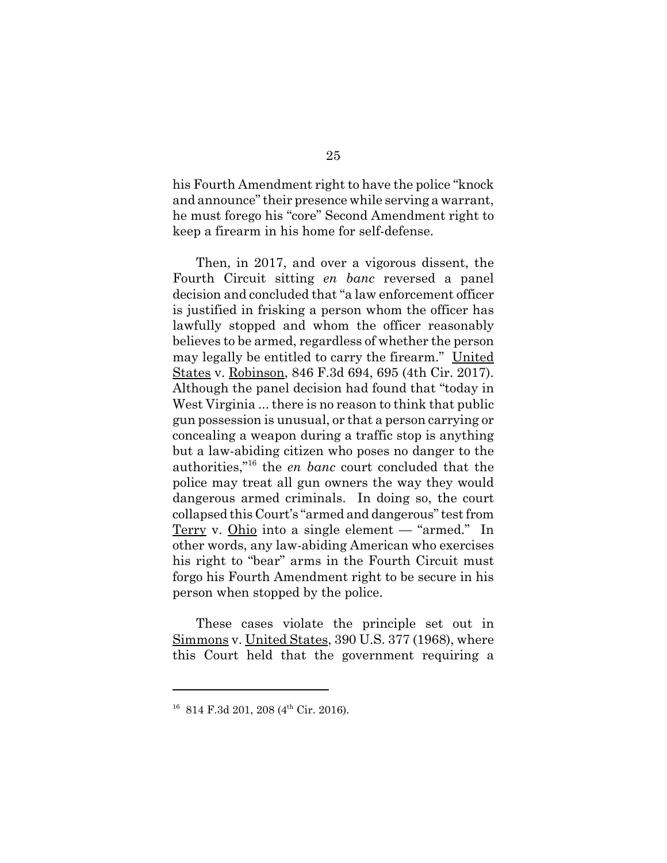his Fourth Amendment right to have the police "knock and announce" their presence while serving a warrant, he must forego his "core" Second Amendment right to keep a firearm in his home for self-defense.

Then, in 2017, and over a vigorous dissent, the Fourth Circuit sitting *en banc* reversed a panel decision and concluded that "a law enforcement officer is justified in frisking a person whom the officer has lawfully stopped and whom the officer reasonably believes to be armed, regardless of whether the person may legally be entitled to carry the firearm." United States v. Robinson, 846 F.3d 694, 695 (4th Cir. 2017). Although the panel decision had found that "today in West Virginia ... there is no reason to think that public gun possession is unusual, or that a person carrying or concealing a weapon during a traffic stop is anything but a law-abiding citizen who poses no danger to the authorities,"16 the *en banc* court concluded that the police may treat all gun owners the way they would dangerous armed criminals. In doing so, the court collapsed this Court's "armed and dangerous" test from Terry v. Ohio into a single element — "armed." In other words, any law-abiding American who exercises his right to "bear" arms in the Fourth Circuit must forgo his Fourth Amendment right to be secure in his person when stopped by the police.

These cases violate the principle set out in Simmons v. United States, 390 U.S. 377 (1968), where this Court held that the government requiring a

 $16$  814 F.3d 201, 208 (4<sup>th</sup> Cir. 2016).